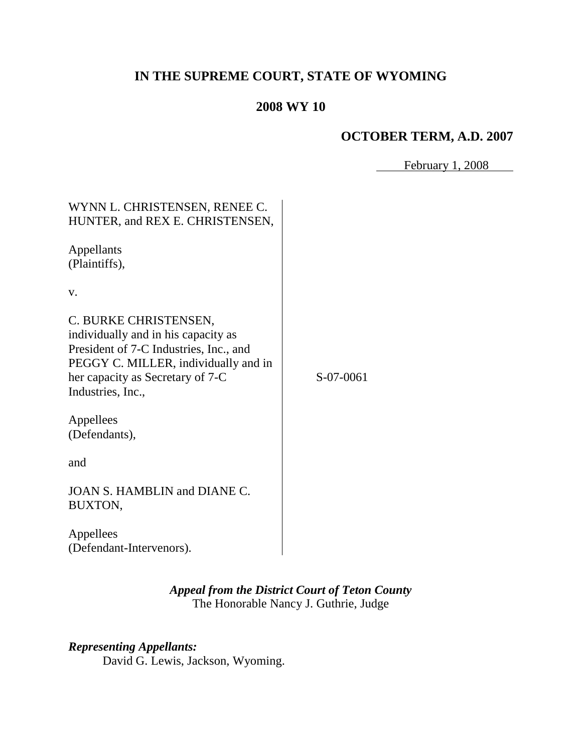# **IN THE SUPREME COURT, STATE OF WYOMING**

# **2008 WY 10**

## **OCTOBER TERM, A.D. 2007**

February 1, 2008

| WYNN L. CHRISTENSEN, RENEE C.<br>HUNTER, and REX E. CHRISTENSEN,                                                                                                                                        |           |
|---------------------------------------------------------------------------------------------------------------------------------------------------------------------------------------------------------|-----------|
| Appellants<br>(Plaintiffs),                                                                                                                                                                             |           |
| V.                                                                                                                                                                                                      |           |
| C. BURKE CHRISTENSEN,<br>individually and in his capacity as<br>President of 7-C Industries, Inc., and<br>PEGGY C. MILLER, individually and in<br>her capacity as Secretary of 7-C<br>Industries, Inc., | S-07-0061 |
| Appellees<br>(Defendants),                                                                                                                                                                              |           |
| and                                                                                                                                                                                                     |           |
| <b>JOAN S. HAMBLIN and DIANE C.</b><br>BUXTON,                                                                                                                                                          |           |
| Appellees<br>(Defendant-Intervenors).                                                                                                                                                                   |           |

## *Appeal from the District Court of Teton County* The Honorable Nancy J. Guthrie, Judge

# *Representing Appellants:*

David G. Lewis, Jackson, Wyoming.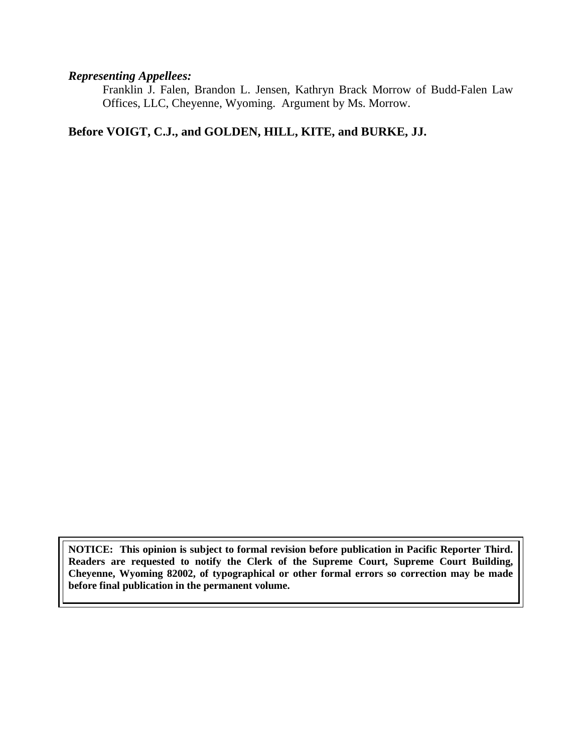#### *Representing Appellees:*

Franklin J. Falen, Brandon L. Jensen, Kathryn Brack Morrow of Budd-Falen Law Offices, LLC, Cheyenne, Wyoming. Argument by Ms. Morrow.

## **Before VOIGT, C.J., and GOLDEN, HILL, KITE, and BURKE, JJ.**

**NOTICE: This opinion is subject to formal revision before publication in Pacific Reporter Third. Readers are requested to notify the Clerk of the Supreme Court, Supreme Court Building, Cheyenne, Wyoming 82002, of typographical or other formal errors so correction may be made before final publication in the permanent volume.**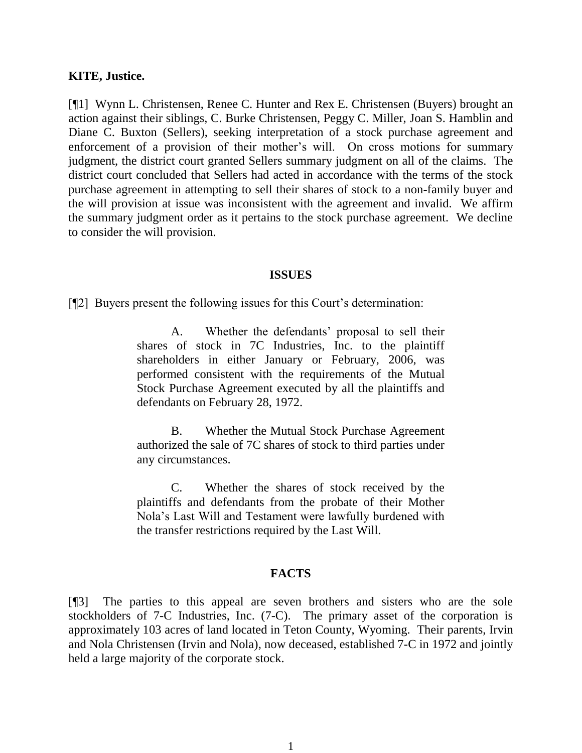#### **KITE, Justice.**

[¶1] Wynn L. Christensen, Renee C. Hunter and Rex E. Christensen (Buyers) brought an action against their siblings, C. Burke Christensen, Peggy C. Miller, Joan S. Hamblin and Diane C. Buxton (Sellers), seeking interpretation of a stock purchase agreement and enforcement of a provision of their mother's will. On cross motions for summary judgment, the district court granted Sellers summary judgment on all of the claims. The district court concluded that Sellers had acted in accordance with the terms of the stock purchase agreement in attempting to sell their shares of stock to a non-family buyer and the will provision at issue was inconsistent with the agreement and invalid. We affirm the summary judgment order as it pertains to the stock purchase agreement. We decline to consider the will provision.

#### **ISSUES**

[¶2] Buyers present the following issues for this Court's determination:

A. Whether the defendants' proposal to sell their shares of stock in 7C Industries, Inc. to the plaintiff shareholders in either January or February, 2006, was performed consistent with the requirements of the Mutual Stock Purchase Agreement executed by all the plaintiffs and defendants on February 28, 1972.

B. Whether the Mutual Stock Purchase Agreement authorized the sale of 7C shares of stock to third parties under any circumstances.

C. Whether the shares of stock received by the plaintiffs and defendants from the probate of their Mother Nola's Last Will and Testament were lawfully burdened with the transfer restrictions required by the Last Will.

#### **FACTS**

[¶3] The parties to this appeal are seven brothers and sisters who are the sole stockholders of 7-C Industries, Inc. (7-C). The primary asset of the corporation is approximately 103 acres of land located in Teton County, Wyoming. Their parents, Irvin and Nola Christensen (Irvin and Nola), now deceased, established 7-C in 1972 and jointly held a large majority of the corporate stock.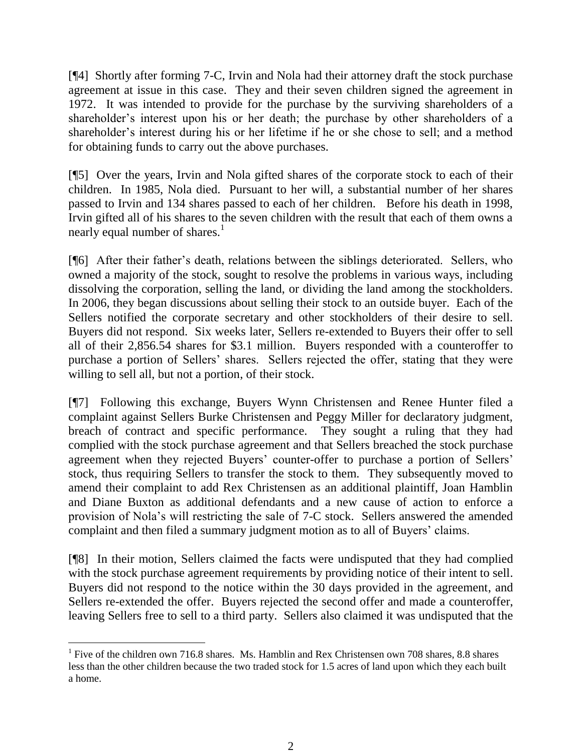[¶4] Shortly after forming 7-C, Irvin and Nola had their attorney draft the stock purchase agreement at issue in this case. They and their seven children signed the agreement in 1972. It was intended to provide for the purchase by the surviving shareholders of a shareholder's interest upon his or her death; the purchase by other shareholders of a shareholder's interest during his or her lifetime if he or she chose to sell; and a method for obtaining funds to carry out the above purchases.

[¶5] Over the years, Irvin and Nola gifted shares of the corporate stock to each of their children. In 1985, Nola died. Pursuant to her will, a substantial number of her shares passed to Irvin and 134 shares passed to each of her children. Before his death in 1998, Irvin gifted all of his shares to the seven children with the result that each of them owns a nearly equal number of shares.<sup>1</sup>

[¶6] After their father's death, relations between the siblings deteriorated. Sellers, who owned a majority of the stock, sought to resolve the problems in various ways, including dissolving the corporation, selling the land, or dividing the land among the stockholders. In 2006, they began discussions about selling their stock to an outside buyer. Each of the Sellers notified the corporate secretary and other stockholders of their desire to sell. Buyers did not respond. Six weeks later, Sellers re-extended to Buyers their offer to sell all of their 2,856.54 shares for \$3.1 million. Buyers responded with a counteroffer to purchase a portion of Sellers' shares. Sellers rejected the offer, stating that they were willing to sell all, but not a portion, of their stock.

[¶7] Following this exchange, Buyers Wynn Christensen and Renee Hunter filed a complaint against Sellers Burke Christensen and Peggy Miller for declaratory judgment, breach of contract and specific performance. They sought a ruling that they had complied with the stock purchase agreement and that Sellers breached the stock purchase agreement when they rejected Buyers' counter-offer to purchase a portion of Sellers' stock, thus requiring Sellers to transfer the stock to them. They subsequently moved to amend their complaint to add Rex Christensen as an additional plaintiff, Joan Hamblin and Diane Buxton as additional defendants and a new cause of action to enforce a provision of Nola's will restricting the sale of 7-C stock. Sellers answered the amended complaint and then filed a summary judgment motion as to all of Buyers' claims.

[¶8] In their motion, Sellers claimed the facts were undisputed that they had complied with the stock purchase agreement requirements by providing notice of their intent to sell. Buyers did not respond to the notice within the 30 days provided in the agreement, and Sellers re-extended the offer. Buyers rejected the second offer and made a counteroffer, leaving Sellers free to sell to a third party. Sellers also claimed it was undisputed that the

<sup>&</sup>lt;sup>1</sup> Five of the children own 716.8 shares. Ms. Hamblin and Rex Christensen own 708 shares, 8.8 shares less than the other children because the two traded stock for 1.5 acres of land upon which they each built a home.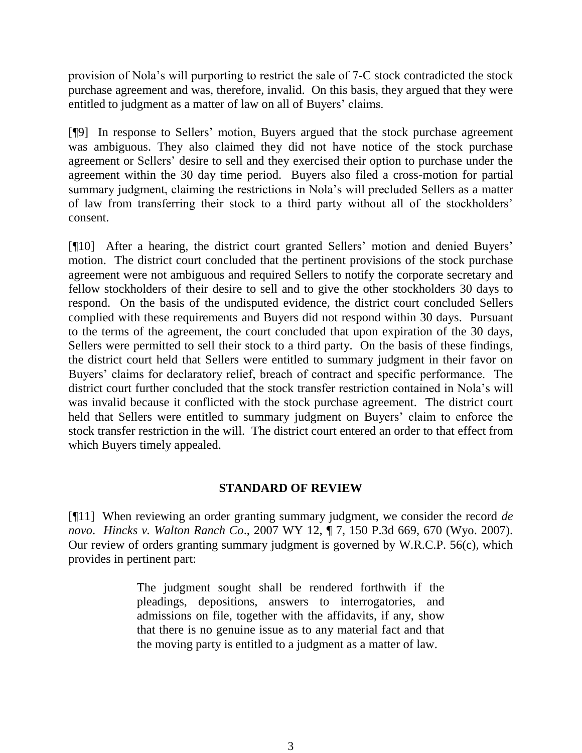provision of Nola's will purporting to restrict the sale of 7-C stock contradicted the stock purchase agreement and was, therefore, invalid. On this basis, they argued that they were entitled to judgment as a matter of law on all of Buyers' claims.

[¶9] In response to Sellers' motion, Buyers argued that the stock purchase agreement was ambiguous. They also claimed they did not have notice of the stock purchase agreement or Sellers' desire to sell and they exercised their option to purchase under the agreement within the 30 day time period. Buyers also filed a cross-motion for partial summary judgment, claiming the restrictions in Nola's will precluded Sellers as a matter of law from transferring their stock to a third party without all of the stockholders' consent.

[¶10] After a hearing, the district court granted Sellers' motion and denied Buyers' motion. The district court concluded that the pertinent provisions of the stock purchase agreement were not ambiguous and required Sellers to notify the corporate secretary and fellow stockholders of their desire to sell and to give the other stockholders 30 days to respond. On the basis of the undisputed evidence, the district court concluded Sellers complied with these requirements and Buyers did not respond within 30 days. Pursuant to the terms of the agreement, the court concluded that upon expiration of the 30 days, Sellers were permitted to sell their stock to a third party. On the basis of these findings, the district court held that Sellers were entitled to summary judgment in their favor on Buyers' claims for declaratory relief, breach of contract and specific performance. The district court further concluded that the stock transfer restriction contained in Nola's will was invalid because it conflicted with the stock purchase agreement. The district court held that Sellers were entitled to summary judgment on Buyers' claim to enforce the stock transfer restriction in the will. The district court entered an order to that effect from which Buyers timely appealed.

### **STANDARD OF REVIEW**

[¶11] When reviewing an order granting summary judgment, we consider the record *de novo*. *Hincks v. Walton Ranch Co*., 2007 WY 12, ¶ 7, 150 P.3d 669, 670 (Wyo. 2007). Our review of orders granting summary judgment is governed by W.R.C.P. 56(c), which provides in pertinent part:

> The judgment sought shall be rendered forthwith if the pleadings, depositions, answers to interrogatories, and admissions on file, together with the affidavits, if any, show that there is no genuine issue as to any material fact and that the moving party is entitled to a judgment as a matter of law.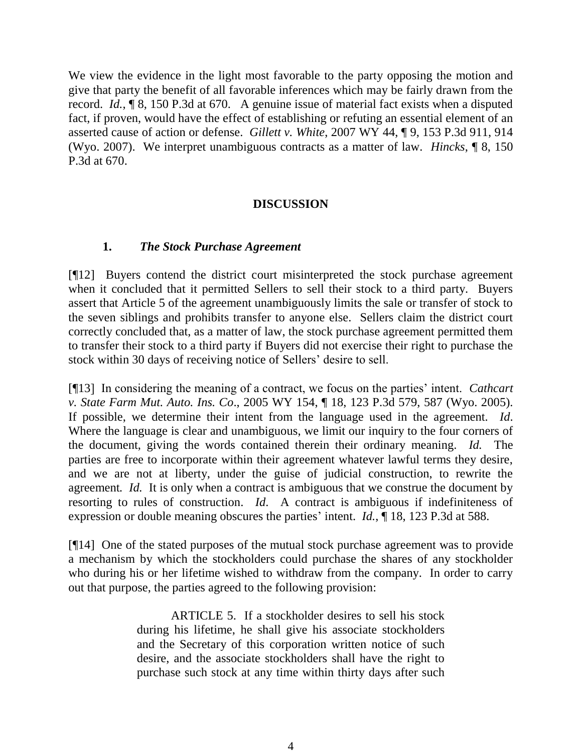We view the evidence in the light most favorable to the party opposing the motion and give that party the benefit of all favorable inferences which may be fairly drawn from the record. *Id.*, ¶ 8, 150 P.3d at 670. A genuine issue of material fact exists when a disputed fact, if proven, would have the effect of establishing or refuting an essential element of an asserted cause of action or defense. *Gillett v. White*, 2007 WY 44, ¶ 9, 153 P.3d 911, 914 (Wyo. 2007). We interpret unambiguous contracts as a matter of law. *Hincks*, ¶ 8, 150 P.3d at 670.

## **DISCUSSION**

## **1.** *The Stock Purchase Agreement*

[¶12] Buyers contend the district court misinterpreted the stock purchase agreement when it concluded that it permitted Sellers to sell their stock to a third party. Buyers assert that Article 5 of the agreement unambiguously limits the sale or transfer of stock to the seven siblings and prohibits transfer to anyone else. Sellers claim the district court correctly concluded that, as a matter of law, the stock purchase agreement permitted them to transfer their stock to a third party if Buyers did not exercise their right to purchase the stock within 30 days of receiving notice of Sellers' desire to sell.

[¶13] In considering the meaning of a contract, we focus on the parties' intent. *Cathcart v. State Farm Mut. Auto. Ins. Co*., 2005 WY 154, ¶ 18, 123 P.3d 579, 587 (Wyo. 2005). If possible, we determine their intent from the language used in the agreement. *Id*. Where the language is clear and unambiguous, we limit our inquiry to the four corners of the document, giving the words contained therein their ordinary meaning. *Id.* The parties are free to incorporate within their agreement whatever lawful terms they desire, and we are not at liberty, under the guise of judicial construction, to rewrite the agreement*. Id.* It is only when a contract is ambiguous that we construe the document by resorting to rules of construction. *Id*. A contract is ambiguous if indefiniteness of expression or double meaning obscures the parties' intent. *Id.*, ¶ 18, 123 P.3d at 588.

[¶14] One of the stated purposes of the mutual stock purchase agreement was to provide a mechanism by which the stockholders could purchase the shares of any stockholder who during his or her lifetime wished to withdraw from the company. In order to carry out that purpose, the parties agreed to the following provision:

> ARTICLE 5. If a stockholder desires to sell his stock during his lifetime, he shall give his associate stockholders and the Secretary of this corporation written notice of such desire, and the associate stockholders shall have the right to purchase such stock at any time within thirty days after such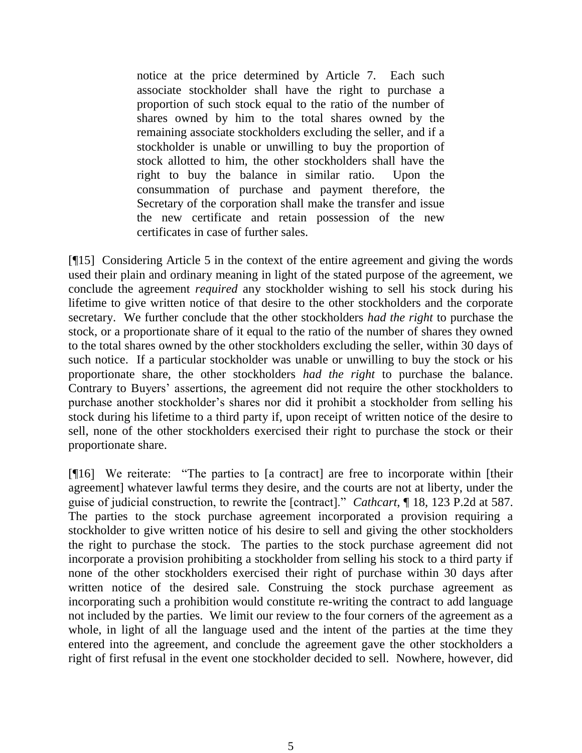notice at the price determined by Article 7. Each such associate stockholder shall have the right to purchase a proportion of such stock equal to the ratio of the number of shares owned by him to the total shares owned by the remaining associate stockholders excluding the seller, and if a stockholder is unable or unwilling to buy the proportion of stock allotted to him, the other stockholders shall have the right to buy the balance in similar ratio. Upon the consummation of purchase and payment therefore, the Secretary of the corporation shall make the transfer and issue the new certificate and retain possession of the new certificates in case of further sales.

[¶15] Considering Article 5 in the context of the entire agreement and giving the words used their plain and ordinary meaning in light of the stated purpose of the agreement, we conclude the agreement *required* any stockholder wishing to sell his stock during his lifetime to give written notice of that desire to the other stockholders and the corporate secretary. We further conclude that the other stockholders *had the right* to purchase the stock, or a proportionate share of it equal to the ratio of the number of shares they owned to the total shares owned by the other stockholders excluding the seller, within 30 days of such notice. If a particular stockholder was unable or unwilling to buy the stock or his proportionate share, the other stockholders *had the right* to purchase the balance. Contrary to Buyers' assertions, the agreement did not require the other stockholders to purchase another stockholder's shares nor did it prohibit a stockholder from selling his stock during his lifetime to a third party if, upon receipt of written notice of the desire to sell, none of the other stockholders exercised their right to purchase the stock or their proportionate share.

[¶16] We reiterate: "The parties to [a contract] are free to incorporate within [their agreement] whatever lawful terms they desire, and the courts are not at liberty, under the guise of judicial construction, to rewrite the [contract]." *Cathcart*, ¶ 18, 123 P.2d at 587. The parties to the stock purchase agreement incorporated a provision requiring a stockholder to give written notice of his desire to sell and giving the other stockholders the right to purchase the stock. The parties to the stock purchase agreement did not incorporate a provision prohibiting a stockholder from selling his stock to a third party if none of the other stockholders exercised their right of purchase within 30 days after written notice of the desired sale. Construing the stock purchase agreement as incorporating such a prohibition would constitute re-writing the contract to add language not included by the parties. We limit our review to the four corners of the agreement as a whole, in light of all the language used and the intent of the parties at the time they entered into the agreement, and conclude the agreement gave the other stockholders a right of first refusal in the event one stockholder decided to sell. Nowhere, however, did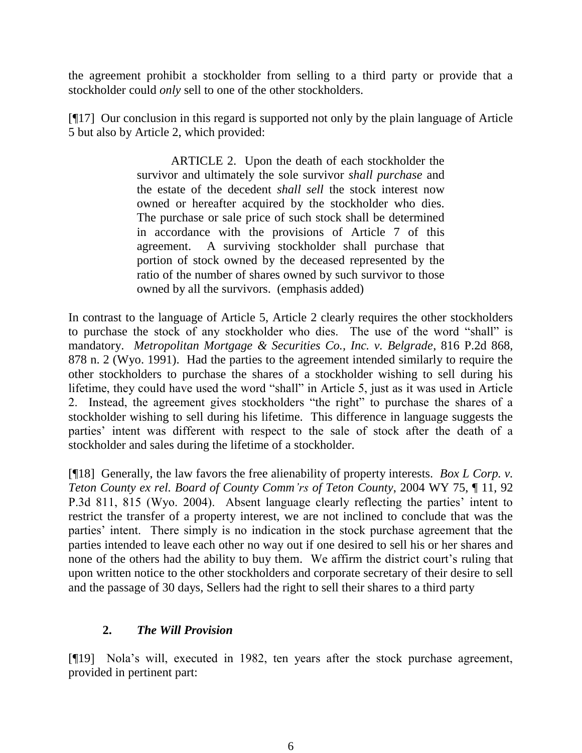the agreement prohibit a stockholder from selling to a third party or provide that a stockholder could *only* sell to one of the other stockholders.

[¶17] Our conclusion in this regard is supported not only by the plain language of Article 5 but also by Article 2, which provided:

> ARTICLE 2. Upon the death of each stockholder the survivor and ultimately the sole survivor *shall purchase* and the estate of the decedent *shall sell* the stock interest now owned or hereafter acquired by the stockholder who dies. The purchase or sale price of such stock shall be determined in accordance with the provisions of Article 7 of this agreement. A surviving stockholder shall purchase that portion of stock owned by the deceased represented by the ratio of the number of shares owned by such survivor to those owned by all the survivors. (emphasis added)

In contrast to the language of Article 5, Article 2 clearly requires the other stockholders to purchase the stock of any stockholder who dies. The use of the word "shall" is mandatory. *Metropolitan Mortgage & Securities Co., Inc. v. Belgrade*, 816 P.2d 868, 878 n. 2 (Wyo. 1991). Had the parties to the agreement intended similarly to require the other stockholders to purchase the shares of a stockholder wishing to sell during his lifetime, they could have used the word "shall" in Article 5, just as it was used in Article 2. Instead, the agreement gives stockholders "the right" to purchase the shares of a stockholder wishing to sell during his lifetime. This difference in language suggests the parties' intent was different with respect to the sale of stock after the death of a stockholder and sales during the lifetime of a stockholder.

[¶18] Generally, the law favors the free alienability of property interests. *Box L Corp. v. Teton County ex rel. Board of County Comm'rs of Teton County*, 2004 WY 75, ¶ 11, 92 P.3d 811, 815 (Wyo. 2004). Absent language clearly reflecting the parties' intent to restrict the transfer of a property interest, we are not inclined to conclude that was the parties' intent. There simply is no indication in the stock purchase agreement that the parties intended to leave each other no way out if one desired to sell his or her shares and none of the others had the ability to buy them. We affirm the district court's ruling that upon written notice to the other stockholders and corporate secretary of their desire to sell and the passage of 30 days, Sellers had the right to sell their shares to a third party

## **2.** *The Will Provision*

[¶19] Nola's will, executed in 1982, ten years after the stock purchase agreement, provided in pertinent part: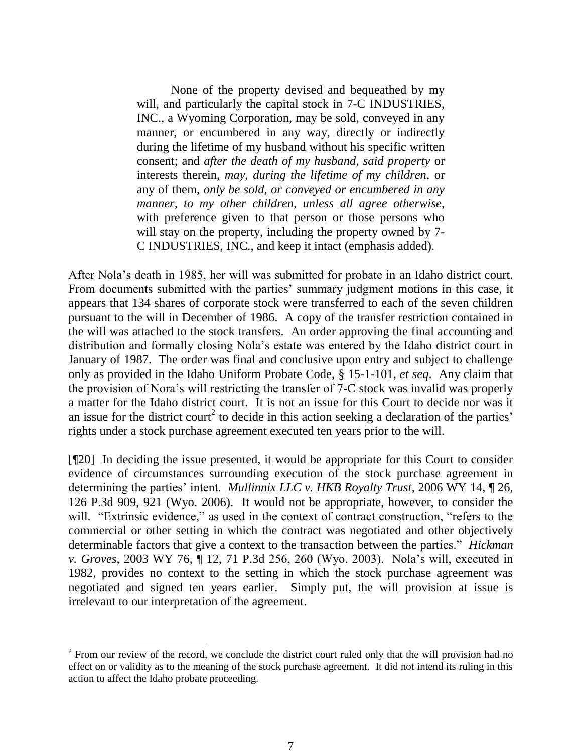None of the property devised and bequeathed by my will, and particularly the capital stock in 7-C INDUSTRIES, INC., a Wyoming Corporation, may be sold, conveyed in any manner, or encumbered in any way, directly or indirectly during the lifetime of my husband without his specific written consent; and *after the death of my husband, said property* or interests therein, *may, during the lifetime of my children*, or any of them, *only be sold, or conveyed or encumbered in any manner, to my other children, unless all agree otherwise*, with preference given to that person or those persons who will stay on the property, including the property owned by 7-C INDUSTRIES, INC., and keep it intact (emphasis added).

After Nola's death in 1985, her will was submitted for probate in an Idaho district court. From documents submitted with the parties' summary judgment motions in this case, it appears that 134 shares of corporate stock were transferred to each of the seven children pursuant to the will in December of 1986. A copy of the transfer restriction contained in the will was attached to the stock transfers. An order approving the final accounting and distribution and formally closing Nola's estate was entered by the Idaho district court in January of 1987. The order was final and conclusive upon entry and subject to challenge only as provided in the Idaho Uniform Probate Code, § 15-1-101, *et seq*. Any claim that the provision of Nora's will restricting the transfer of 7-C stock was invalid was properly a matter for the Idaho district court. It is not an issue for this Court to decide nor was it an issue for the district court<sup>2</sup> to decide in this action seeking a declaration of the parties' rights under a stock purchase agreement executed ten years prior to the will.

[¶20] In deciding the issue presented, it would be appropriate for this Court to consider evidence of circumstances surrounding execution of the stock purchase agreement in determining the parties' intent. *Mullinnix LLC v. HKB Royalty Trust*, 2006 WY 14, ¶ 26, 126 P.3d 909, 921 (Wyo. 2006). It would not be appropriate, however, to consider the will. "Extrinsic evidence," as used in the context of contract construction, "refers to the commercial or other setting in which the contract was negotiated and other objectively determinable factors that give a context to the transaction between the parties." *Hickman v. Groves*, 2003 WY 76, ¶ 12, 71 P.3d 256, 260 (Wyo. 2003). Nola's will, executed in 1982, provides no context to the setting in which the stock purchase agreement was negotiated and signed ten years earlier. Simply put, the will provision at issue is irrelevant to our interpretation of the agreement.

 $2^2$  From our review of the record, we conclude the district court ruled only that the will provision had no effect on or validity as to the meaning of the stock purchase agreement. It did not intend its ruling in this action to affect the Idaho probate proceeding.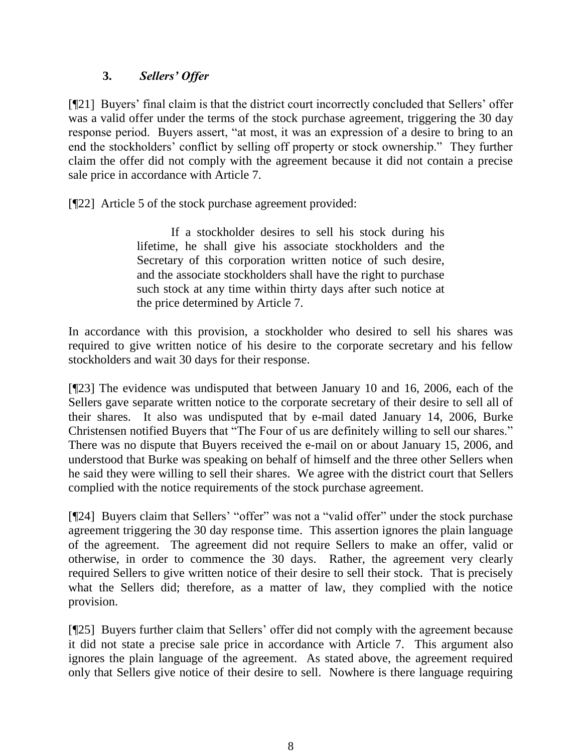## **3.** *Sellers' Offer*

[¶21] Buyers' final claim is that the district court incorrectly concluded that Sellers' offer was a valid offer under the terms of the stock purchase agreement, triggering the 30 day response period. Buyers assert, "at most, it was an expression of a desire to bring to an end the stockholders' conflict by selling off property or stock ownership." They further claim the offer did not comply with the agreement because it did not contain a precise sale price in accordance with Article 7.

[¶22] Article 5 of the stock purchase agreement provided:

If a stockholder desires to sell his stock during his lifetime, he shall give his associate stockholders and the Secretary of this corporation written notice of such desire, and the associate stockholders shall have the right to purchase such stock at any time within thirty days after such notice at the price determined by Article 7.

In accordance with this provision, a stockholder who desired to sell his shares was required to give written notice of his desire to the corporate secretary and his fellow stockholders and wait 30 days for their response.

[¶23] The evidence was undisputed that between January 10 and 16, 2006, each of the Sellers gave separate written notice to the corporate secretary of their desire to sell all of their shares. It also was undisputed that by e-mail dated January 14, 2006, Burke Christensen notified Buyers that "The Four of us are definitely willing to sell our shares." There was no dispute that Buyers received the e-mail on or about January 15, 2006, and understood that Burke was speaking on behalf of himself and the three other Sellers when he said they were willing to sell their shares. We agree with the district court that Sellers complied with the notice requirements of the stock purchase agreement.

[¶24] Buyers claim that Sellers' "offer" was not a "valid offer" under the stock purchase agreement triggering the 30 day response time. This assertion ignores the plain language of the agreement. The agreement did not require Sellers to make an offer, valid or otherwise, in order to commence the 30 days. Rather, the agreement very clearly required Sellers to give written notice of their desire to sell their stock. That is precisely what the Sellers did; therefore, as a matter of law, they complied with the notice provision.

[¶25] Buyers further claim that Sellers' offer did not comply with the agreement because it did not state a precise sale price in accordance with Article 7. This argument also ignores the plain language of the agreement. As stated above, the agreement required only that Sellers give notice of their desire to sell. Nowhere is there language requiring